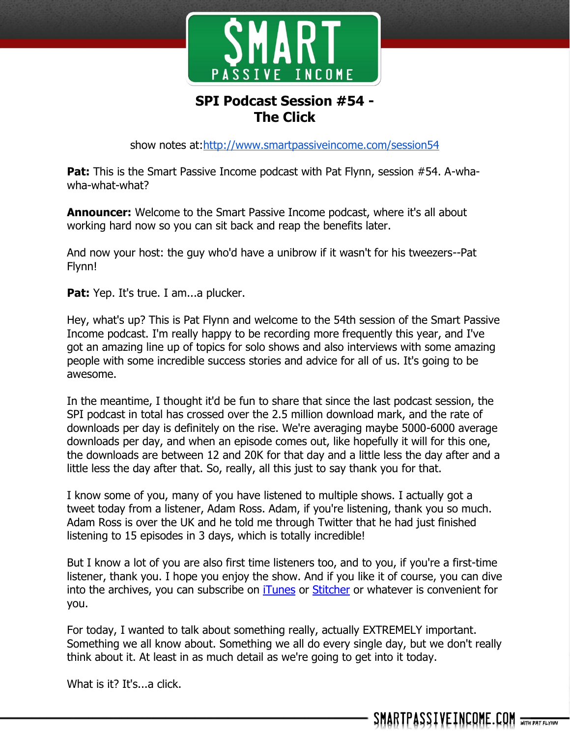

## **SPI Podcast Session #54 - The Click**

show notes at:http://www.smartpassiveincome.com/session54

**Pat:** This is the Smart Passive Income podcast with Pat Flynn, session #54. A-whawha-what-what?

**Announcer:** Welcome to the Smart Passive Income podcast, where it's all about working hard now so you can sit back and reap the benefits later.

And now your host: the guy who'd have a unibrow if it wasn't for his tweezers--Pat Flynn!

**Pat:** Yep. It's true. I am...a plucker.

Hey, what's up? This is Pat Flynn and welcome to the 54th session of the Smart Passive Income podcast. I'm really happy to be recording more frequently this year, and I've got an amazing line up of topics for solo shows and also interviews with some amazing people with some incredible success stories and advice for all of us. It's going to be awesome.

In the meantime, I thought it'd be fun to share that since the last podcast session, the SPI podcast in total has crossed over the 2.5 million download mark, and the rate of downloads per day is definitely on the rise. We're averaging maybe 5000-6000 average downloads per day, and when an episode comes out, like hopefully it will for this one, the downloads are between 12 and 20K for that day and a little less the day after and a little less the day after that. So, really, all this just to say thank you for that.

I know some of you, many of you have listened to multiple shows. I actually got a tweet today from a listener, Adam Ross. Adam, if you're listening, thank you so much. Adam Ross is over the UK and he told me through Twitter that he had just finished listening to 15 episodes in 3 days, which is totally incredible!

But I know a lot of you are also first time listeners too, and to you, if you're a first-time listener, thank you. I hope you enjoy the show. And if you like it of course, you can dive into the archives, you can subscribe on [iTunes](http://www.smartpassiveincome.com/itunes) or [Stitcher](http://stitcher.com/) or whatever is convenient for you.

For today, I wanted to talk about something really, actually EXTREMELY important. Something we all know about. Something we all do every single day, but we don't really think about it. At least in as much detail as we're going to get into it today.

What is it? It's...a click.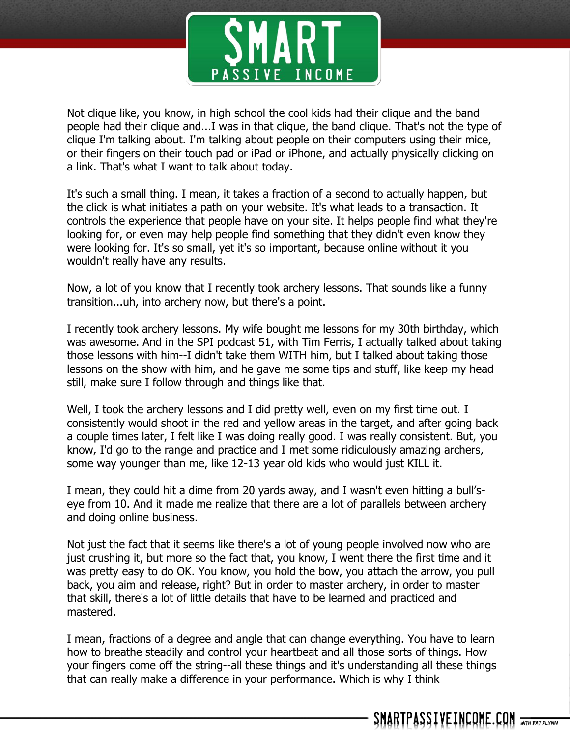

Not clique like, you know, in high school the cool kids had their clique and the band people had their clique and...I was in that clique, the band clique. That's not the type of clique I'm talking about. I'm talking about people on their computers using their mice, or their fingers on their touch pad or iPad or iPhone, and actually physically clicking on a link. That's what I want to talk about today.

It's such a small thing. I mean, it takes a fraction of a second to actually happen, but the click is what initiates a path on your website. It's what leads to a transaction. It controls the experience that people have on your site. It helps people find what they're looking for, or even may help people find something that they didn't even know they were looking for. It's so small, yet it's so important, because online without it you wouldn't really have any results.

Now, a lot of you know that I recently took archery lessons. That sounds like a funny transition...uh, into archery now, but there's a point.

I recently took archery lessons. My wife bought me lessons for my 30th birthday, which was awesome. And in the SPI podcast 51, with Tim Ferris, I actually talked about taking those lessons with him--I didn't take them WITH him, but I talked about taking those lessons on the show with him, and he gave me some tips and stuff, like keep my head still, make sure I follow through and things like that.

Well, I took the archery lessons and I did pretty well, even on my first time out. I consistently would shoot in the red and yellow areas in the target, and after going back a couple times later, I felt like I was doing really good. I was really consistent. But, you know, I'd go to the range and practice and I met some ridiculously amazing archers, some way younger than me, like 12-13 year old kids who would just KILL it.

I mean, they could hit a dime from 20 yards away, and I wasn't even hitting a bull'seye from 10. And it made me realize that there are a lot of parallels between archery and doing online business.

Not just the fact that it seems like there's a lot of young people involved now who are just crushing it, but more so the fact that, you know, I went there the first time and it was pretty easy to do OK. You know, you hold the bow, you attach the arrow, you pull back, you aim and release, right? But in order to master archery, in order to master that skill, there's a lot of little details that have to be learned and practiced and mastered.

I mean, fractions of a degree and angle that can change everything. You have to learn how to breathe steadily and control your heartbeat and all those sorts of things. How your fingers come off the string--all these things and it's understanding all these things that can really make a difference in your performance. Which is why I think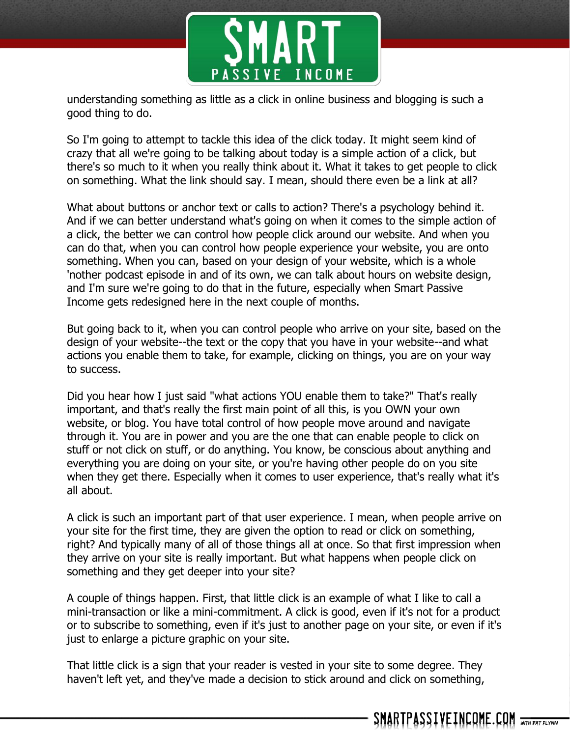

understanding something as little as a click in online business and blogging is such a good thing to do.

So I'm going to attempt to tackle this idea of the click today. It might seem kind of crazy that all we're going to be talking about today is a simple action of a click, but there's so much to it when you really think about it. What it takes to get people to click on something. What the link should say. I mean, should there even be a link at all?

What about buttons or anchor text or calls to action? There's a psychology behind it. And if we can better understand what's going on when it comes to the simple action of a click, the better we can control how people click around our website. And when you can do that, when you can control how people experience your website, you are onto something. When you can, based on your design of your website, which is a whole 'nother podcast episode in and of its own, we can talk about hours on website design, and I'm sure we're going to do that in the future, especially when Smart Passive Income gets redesigned here in the next couple of months.

But going back to it, when you can control people who arrive on your site, based on the design of your website--the text or the copy that you have in your website--and what actions you enable them to take, for example, clicking on things, you are on your way to success.

Did you hear how I just said "what actions YOU enable them to take?" That's really important, and that's really the first main point of all this, is you OWN your own website, or blog. You have total control of how people move around and navigate through it. You are in power and you are the one that can enable people to click on stuff or not click on stuff, or do anything. You know, be conscious about anything and everything you are doing on your site, or you're having other people do on you site when they get there. Especially when it comes to user experience, that's really what it's all about.

A click is such an important part of that user experience. I mean, when people arrive on your site for the first time, they are given the option to read or click on something, right? And typically many of all of those things all at once. So that first impression when they arrive on your site is really important. But what happens when people click on something and they get deeper into your site?

A couple of things happen. First, that little click is an example of what I like to call a mini-transaction or like a mini-commitment. A click is good, even if it's not for a product or to subscribe to something, even if it's just to another page on your site, or even if it's just to enlarge a picture graphic on your site.

That little click is a sign that your reader is vested in your site to some degree. They haven't left yet, and they've made a decision to stick around and click on something,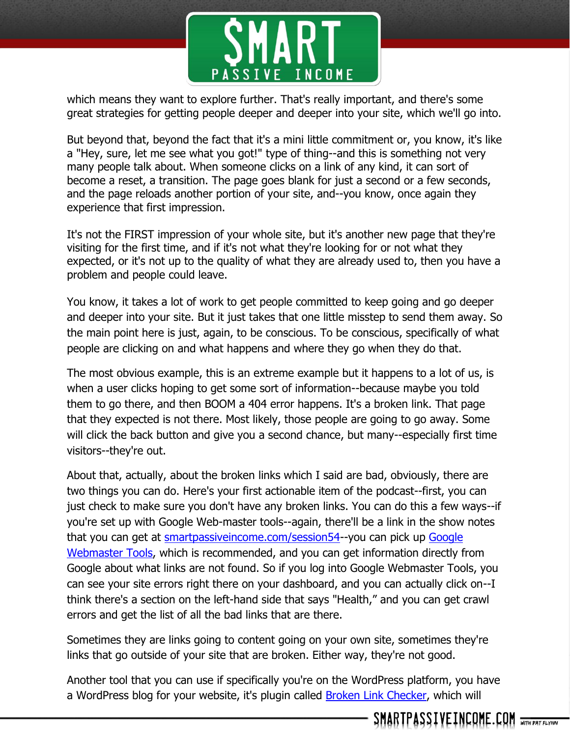

which means they want to explore further. That's really important, and there's some great strategies for getting people deeper and deeper into your site, which we'll go into.

But beyond that, beyond the fact that it's a mini little commitment or, you know, it's like a "Hey, sure, let me see what you got!" type of thing--and this is something not very many people talk about. When someone clicks on a link of any kind, it can sort of become a reset, a transition. The page goes blank for just a second or a few seconds, and the page reloads another portion of your site, and--you know, once again they experience that first impression.

It's not the FIRST impression of your whole site, but it's another new page that they're visiting for the first time, and if it's not what they're looking for or not what they expected, or it's not up to the quality of what they are already used to, then you have a problem and people could leave.

You know, it takes a lot of work to get people committed to keep going and go deeper and deeper into your site. But it just takes that one little misstep to send them away. So the main point here is just, again, to be conscious. To be conscious, specifically of what people are clicking on and what happens and where they go when they do that.

The most obvious example, this is an extreme example but it happens to a lot of us, is when a user clicks hoping to get some sort of information--because maybe you told them to go there, and then BOOM a 404 error happens. It's a broken link. That page that they expected is not there. Most likely, those people are going to go away. Some will click the back button and give you a second chance, but many--especially first time visitors--they're out.

About that, actually, about the broken links which I said are bad, obviously, there are two things you can do. Here's your first actionable item of the podcast--first, you can just check to make sure you don't have any broken links. You can do this a few ways--if you're set up with Google Web-master tools--again, there'll be a link in the show notes that you can get at [smartpassiveincome.com/session54-](http://smartpassiveincome.com/session54)-you can pick up [Google](https://www.google.com/webmasters/tools)  [Webmaster Tools,](https://www.google.com/webmasters/tools) which is recommended, and you can get information directly from Google about what links are not found. So if you log into Google Webmaster Tools, you can see your site errors right there on your dashboard, and you can actually click on--I think there's a section on the left-hand side that says "Health," and you can get crawl errors and get the list of all the bad links that are there.

Sometimes they are links going to content going on your own site, sometimes they're links that go outside of your site that are broken. Either way, they're not good.

Another tool that you can use if specifically you're on the WordPress platform, you have a WordPress blog for your website, it's plugin called **Broken Link Checker**, which will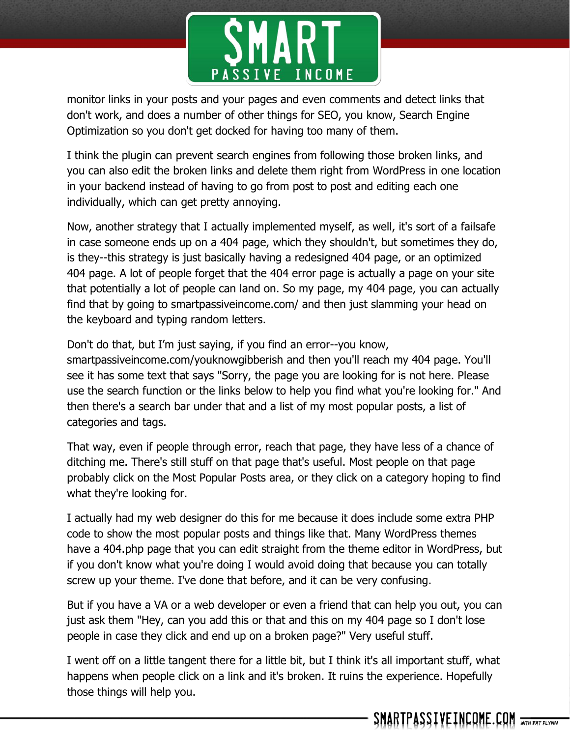

monitor links in your posts and your pages and even comments and detect links that don't work, and does a number of other things for SEO, you know, Search Engine Optimization so you don't get docked for having too many of them.

I think the plugin can prevent search engines from following those broken links, and you can also edit the broken links and delete them right from WordPress in one location in your backend instead of having to go from post to post and editing each one individually, which can get pretty annoying.

Now, another strategy that I actually implemented myself, as well, it's sort of a failsafe in case someone ends up on a 404 page, which they shouldn't, but sometimes they do, is they--this strategy is just basically having a redesigned 404 page, or an optimized 404 page. A lot of people forget that the 404 error page is actually a page on your site that potentially a lot of people can land on. So my page, my 404 page, you can actually find that by going to smartpassiveincome.com/ and then just slamming your head on the keyboard and typing random letters.

Don't do that, but I'm just saying, if you find an error--you know, smartpassiveincome.com/youknowgibberish and then you'll reach my 404 page. You'll see it has some text that says "Sorry, the page you are looking for is not here. Please use the search function or the links below to help you find what you're looking for." And then there's a search bar under that and a list of my most popular posts, a list of categories and tags.

That way, even if people through error, reach that page, they have less of a chance of ditching me. There's still stuff on that page that's useful. Most people on that page probably click on the Most Popular Posts area, or they click on a category hoping to find what they're looking for.

I actually had my web designer do this for me because it does include some extra PHP code to show the most popular posts and things like that. Many WordPress themes have a 404.php page that you can edit straight from the theme editor in WordPress, but if you don't know what you're doing I would avoid doing that because you can totally screw up your theme. I've done that before, and it can be very confusing.

But if you have a VA or a web developer or even a friend that can help you out, you can just ask them "Hey, can you add this or that and this on my 404 page so I don't lose people in case they click and end up on a broken page?" Very useful stuff.

I went off on a little tangent there for a little bit, but I think it's all important stuff, what happens when people click on a link and it's broken. It ruins the experience. Hopefully those things will help you.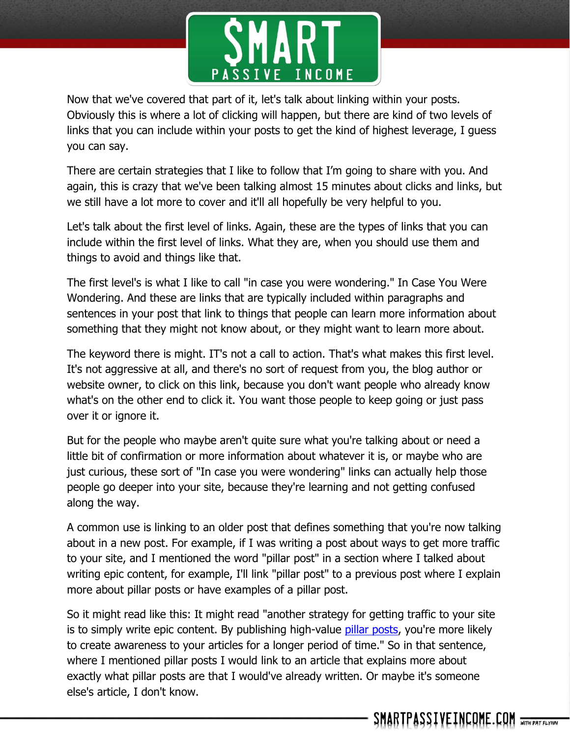

Now that we've covered that part of it, let's talk about linking within your posts. Obviously this is where a lot of clicking will happen, but there are kind of two levels of links that you can include within your posts to get the kind of highest leverage, I guess you can say.

There are certain strategies that I like to follow that I'm going to share with you. And again, this is crazy that we've been talking almost 15 minutes about clicks and links, but we still have a lot more to cover and it'll all hopefully be very helpful to you.

Let's talk about the first level of links. Again, these are the types of links that you can include within the first level of links. What they are, when you should use them and things to avoid and things like that.

The first level's is what I like to call "in case you were wondering." In Case You Were Wondering. And these are links that are typically included within paragraphs and sentences in your post that link to things that people can learn more information about something that they might not know about, or they might want to learn more about.

The keyword there is might. IT's not a call to action. That's what makes this first level. It's not aggressive at all, and there's no sort of request from you, the blog author or website owner, to click on this link, because you don't want people who already know what's on the other end to click it. You want those people to keep going or just pass over it or ignore it.

But for the people who maybe aren't quite sure what you're talking about or need a little bit of confirmation or more information about whatever it is, or maybe who are just curious, these sort of "In case you were wondering" links can actually help those people go deeper into your site, because they're learning and not getting confused along the way.

A common use is linking to an older post that defines something that you're now talking about in a new post. For example, if I was writing a post about ways to get more traffic to your site, and I mentioned the word "pillar post" in a section where I talked about writing epic content, for example, I'll link "pillar post" to a previous post where I explain more about pillar posts or have examples of a pillar post.

So it might read like this: It might read "another strategy for getting traffic to your site is to simply write epic content. By publishing high-value [pillar posts,](http://www.smartpassiveincome.com/reader-challenge-roundup-pillar-articles/) you're more likely to create awareness to your articles for a longer period of time." So in that sentence, where I mentioned pillar posts I would link to an article that explains more about exactly what pillar posts are that I would've already written. Or maybe it's someone else's article, I don't know.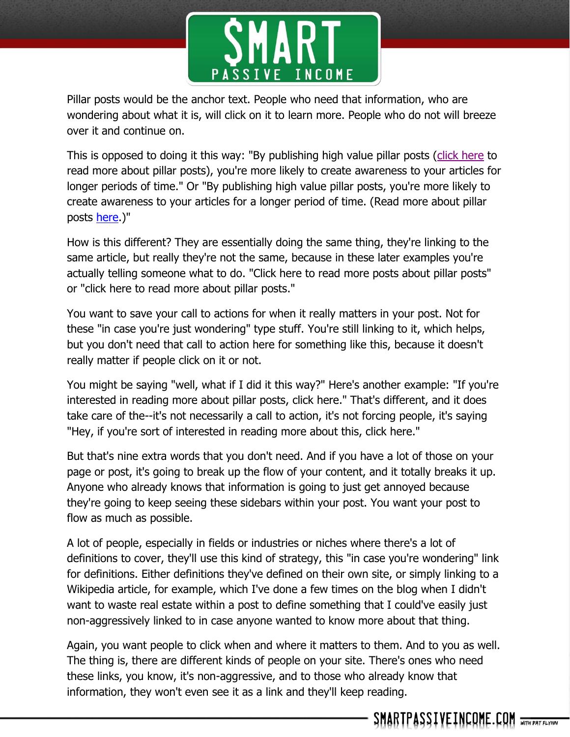

Pillar posts would be the anchor text. People who need that information, who are wondering about what it is, will click on it to learn more. People who do not will breeze over it and continue on.

This is opposed to doing it this way: "By publishing high value pillar posts [\(click here](http://www.smartpassiveincome.com/explosive-sticky-traffic/) to read more about pillar posts), you're more likely to create awareness to your articles for longer periods of time." Or "By publishing high value pillar posts, you're more likely to create awareness to your articles for a longer period of time. (Read more about pillar posts [here.](http://www.smartpassiveincome.com/explosive-sticky-traffic/))"

How is this different? They are essentially doing the same thing, they're linking to the same article, but really they're not the same, because in these later examples you're actually telling someone what to do. "Click here to read more posts about pillar posts" or "click here to read more about pillar posts."

You want to save your call to actions for when it really matters in your post. Not for these "in case you're just wondering" type stuff. You're still linking to it, which helps, but you don't need that call to action here for something like this, because it doesn't really matter if people click on it or not.

You might be saying "well, what if I did it this way?" Here's another example: "If you're interested in reading more about pillar posts, click here." That's different, and it does take care of the--it's not necessarily a call to action, it's not forcing people, it's saying "Hey, if you're sort of interested in reading more about this, click here."

But that's nine extra words that you don't need. And if you have a lot of those on your page or post, it's going to break up the flow of your content, and it totally breaks it up. Anyone who already knows that information is going to just get annoyed because they're going to keep seeing these sidebars within your post. You want your post to flow as much as possible.

A lot of people, especially in fields or industries or niches where there's a lot of definitions to cover, they'll use this kind of strategy, this "in case you're wondering" link for definitions. Either definitions they've defined on their own site, or simply linking to a Wikipedia article, for example, which I've done a few times on the blog when I didn't want to waste real estate within a post to define something that I could've easily just non-aggressively linked to in case anyone wanted to know more about that thing.

Again, you want people to click when and where it matters to them. And to you as well. The thing is, there are different kinds of people on your site. There's ones who need these links, you know, it's non-aggressive, and to those who already know that information, they won't even see it as a link and they'll keep reading.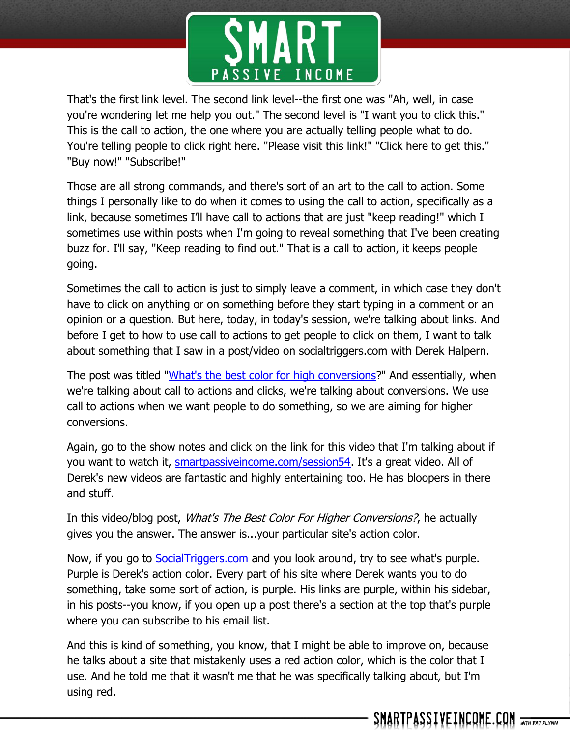

That's the first link level. The second link level--the first one was "Ah, well, in case you're wondering let me help you out." The second level is "I want you to click this." This is the call to action, the one where you are actually telling people what to do. You're telling people to click right here. "Please visit this link!" "Click here to get this." "Buy now!" "Subscribe!"

Those are all strong commands, and there's sort of an art to the call to action. Some things I personally like to do when it comes to using the call to action, specifically as a link, because sometimes I'll have call to actions that are just "keep reading!" which I sometimes use within posts when I'm going to reveal something that I've been creating buzz for. I'll say, "Keep reading to find out." That is a call to action, it keeps people going.

Sometimes the call to action is just to simply leave a comment, in which case they don't have to click on anything or on something before they start typing in a comment or an opinion or a question. But here, today, in today's session, we're talking about links. And before I get to how to use call to actions to get people to click on them, I want to talk about something that I saw in a post/video on socialtriggers.com with Derek Halpern.

The post was titled ["What's the best color for high conversions?](http://socialtriggers.com/best-color-for-conversions/%5d)" And essentially, when we're talking about call to actions and clicks, we're talking about conversions. We use call to actions when we want people to do something, so we are aiming for higher conversions.

Again, go to the show notes and click on the link for this video that I'm talking about if you want to watch it, [smartpassiveincome.com/session54.](http://www.smartpassiveincome.com/session54) It's a great video. All of Derek's new videos are fantastic and highly entertaining too. He has bloopers in there and stuff.

In this video/blog post, *What's The Best Color For Higher Conversions?*, he actually gives you the answer. The answer is...your particular site's action color.

Now, if you go to [SocialTriggers.com](http://socialtriggers.com/) and you look around, try to see what's purple. Purple is Derek's action color. Every part of his site where Derek wants you to do something, take some sort of action, is purple. His links are purple, within his sidebar, in his posts--you know, if you open up a post there's a section at the top that's purple where you can subscribe to his email list.

And this is kind of something, you know, that I might be able to improve on, because he talks about a site that mistakenly uses a red action color, which is the color that I use. And he told me that it wasn't me that he was specifically talking about, but I'm using red.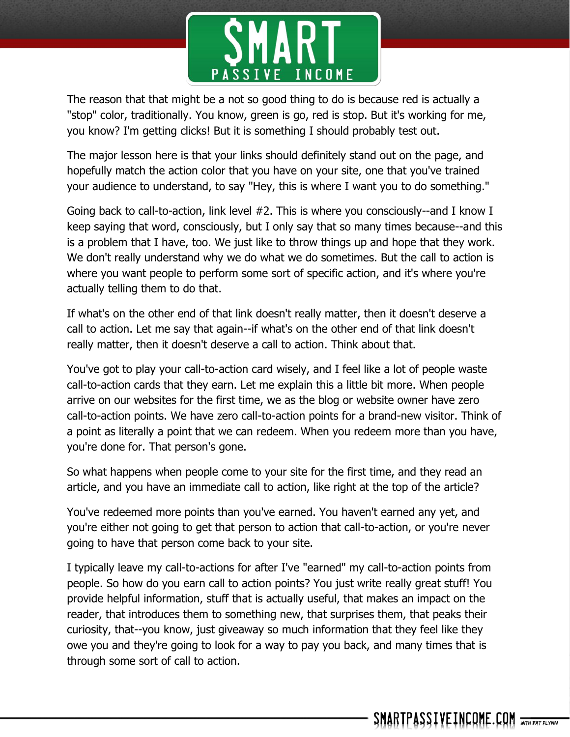

The reason that that might be a not so good thing to do is because red is actually a "stop" color, traditionally. You know, green is go, red is stop. But it's working for me, you know? I'm getting clicks! But it is something I should probably test out.

The major lesson here is that your links should definitely stand out on the page, and hopefully match the action color that you have on your site, one that you've trained your audience to understand, to say "Hey, this is where I want you to do something."

Going back to call-to-action, link level #2. This is where you consciously--and I know I keep saying that word, consciously, but I only say that so many times because--and this is a problem that I have, too. We just like to throw things up and hope that they work. We don't really understand why we do what we do sometimes. But the call to action is where you want people to perform some sort of specific action, and it's where you're actually telling them to do that.

If what's on the other end of that link doesn't really matter, then it doesn't deserve a call to action. Let me say that again--if what's on the other end of that link doesn't really matter, then it doesn't deserve a call to action. Think about that.

You've got to play your call-to-action card wisely, and I feel like a lot of people waste call-to-action cards that they earn. Let me explain this a little bit more. When people arrive on our websites for the first time, we as the blog or website owner have zero call-to-action points. We have zero call-to-action points for a brand-new visitor. Think of a point as literally a point that we can redeem. When you redeem more than you have, you're done for. That person's gone.

So what happens when people come to your site for the first time, and they read an article, and you have an immediate call to action, like right at the top of the article?

You've redeemed more points than you've earned. You haven't earned any yet, and you're either not going to get that person to action that call-to-action, or you're never going to have that person come back to your site.

I typically leave my call-to-actions for after I've "earned" my call-to-action points from people. So how do you earn call to action points? You just write really great stuff! You provide helpful information, stuff that is actually useful, that makes an impact on the reader, that introduces them to something new, that surprises them, that peaks their curiosity, that--you know, just giveaway so much information that they feel like they owe you and they're going to look for a way to pay you back, and many times that is through some sort of call to action.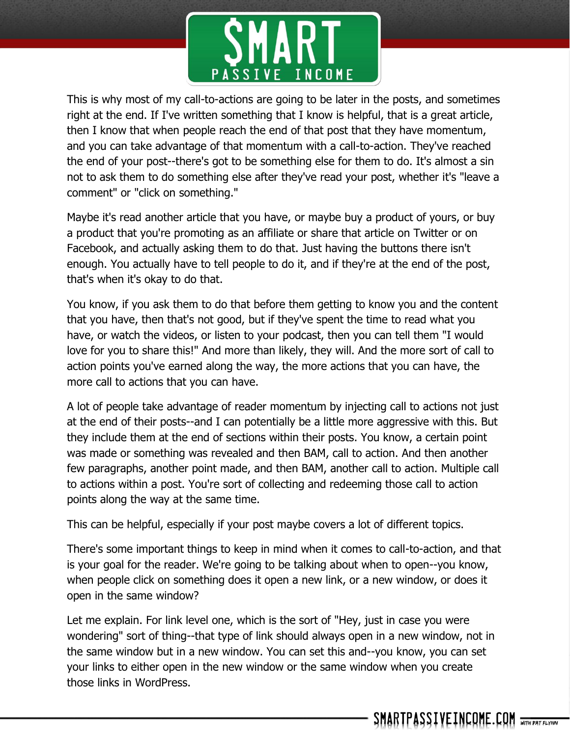

This is why most of my call-to-actions are going to be later in the posts, and sometimes right at the end. If I've written something that I know is helpful, that is a great article, then I know that when people reach the end of that post that they have momentum, and you can take advantage of that momentum with a call-to-action. They've reached the end of your post--there's got to be something else for them to do. It's almost a sin not to ask them to do something else after they've read your post, whether it's "leave a comment" or "click on something."

Maybe it's read another article that you have, or maybe buy a product of yours, or buy a product that you're promoting as an affiliate or share that article on Twitter or on Facebook, and actually asking them to do that. Just having the buttons there isn't enough. You actually have to tell people to do it, and if they're at the end of the post, that's when it's okay to do that.

You know, if you ask them to do that before them getting to know you and the content that you have, then that's not good, but if they've spent the time to read what you have, or watch the videos, or listen to your podcast, then you can tell them "I would love for you to share this!" And more than likely, they will. And the more sort of call to action points you've earned along the way, the more actions that you can have, the more call to actions that you can have.

A lot of people take advantage of reader momentum by injecting call to actions not just at the end of their posts--and I can potentially be a little more aggressive with this. But they include them at the end of sections within their posts. You know, a certain point was made or something was revealed and then BAM, call to action. And then another few paragraphs, another point made, and then BAM, another call to action. Multiple call to actions within a post. You're sort of collecting and redeeming those call to action points along the way at the same time.

This can be helpful, especially if your post maybe covers a lot of different topics.

There's some important things to keep in mind when it comes to call-to-action, and that is your goal for the reader. We're going to be talking about when to open--you know, when people click on something does it open a new link, or a new window, or does it open in the same window?

Let me explain. For link level one, which is the sort of "Hey, just in case you were wondering" sort of thing--that type of link should always open in a new window, not in the same window but in a new window. You can set this and--you know, you can set your links to either open in the new window or the same window when you create those links in WordPress.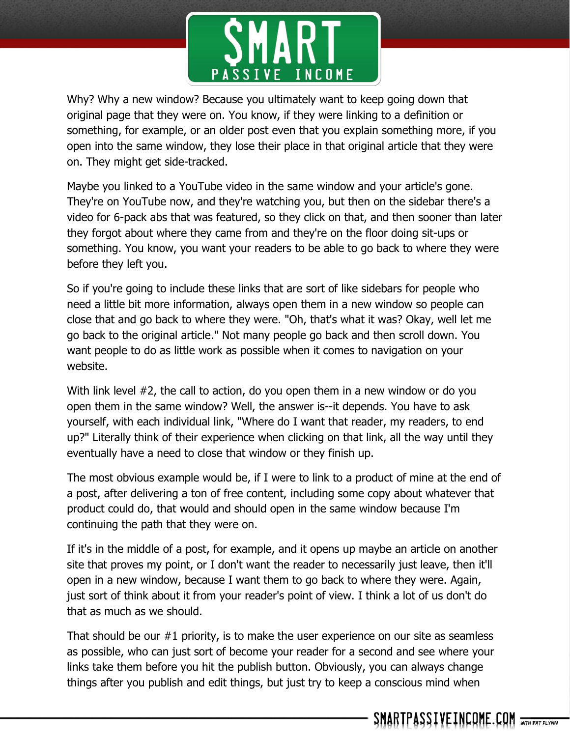

Why? Why a new window? Because you ultimately want to keep going down that original page that they were on. You know, if they were linking to a definition or something, for example, or an older post even that you explain something more, if you open into the same window, they lose their place in that original article that they were on. They might get side-tracked.

Maybe you linked to a YouTube video in the same window and your article's gone. They're on YouTube now, and they're watching you, but then on the sidebar there's a video for 6-pack abs that was featured, so they click on that, and then sooner than later they forgot about where they came from and they're on the floor doing sit-ups or something. You know, you want your readers to be able to go back to where they were before they left you.

So if you're going to include these links that are sort of like sidebars for people who need a little bit more information, always open them in a new window so people can close that and go back to where they were. "Oh, that's what it was? Okay, well let me go back to the original article." Not many people go back and then scroll down. You want people to do as little work as possible when it comes to navigation on your website.

With link level #2, the call to action, do you open them in a new window or do you open them in the same window? Well, the answer is--it depends. You have to ask yourself, with each individual link, "Where do I want that reader, my readers, to end up?" Literally think of their experience when clicking on that link, all the way until they eventually have a need to close that window or they finish up.

The most obvious example would be, if I were to link to a product of mine at the end of a post, after delivering a ton of free content, including some copy about whatever that product could do, that would and should open in the same window because I'm continuing the path that they were on.

If it's in the middle of a post, for example, and it opens up maybe an article on another site that proves my point, or I don't want the reader to necessarily just leave, then it'll open in a new window, because I want them to go back to where they were. Again, just sort of think about it from your reader's point of view. I think a lot of us don't do that as much as we should.

That should be our #1 priority, is to make the user experience on our site as seamless as possible, who can just sort of become your reader for a second and see where your links take them before you hit the publish button. Obviously, you can always change things after you publish and edit things, but just try to keep a conscious mind when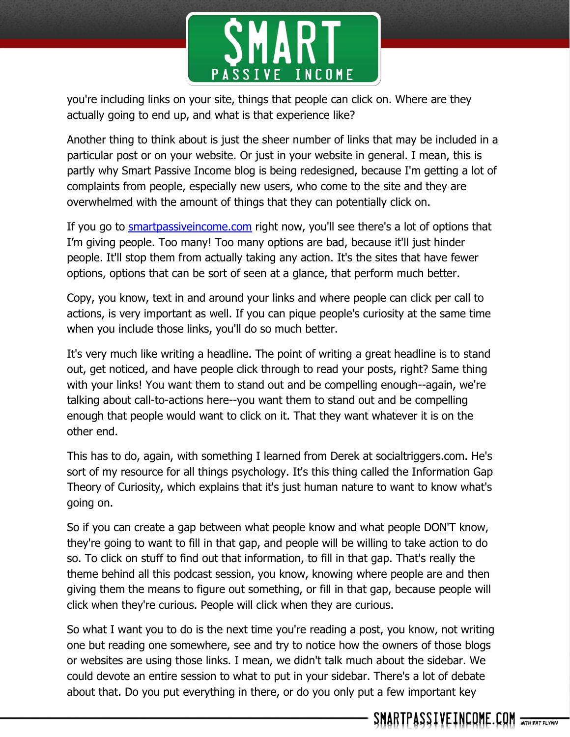

you're including links on your site, things that people can click on. Where are they actually going to end up, and what is that experience like?

Another thing to think about is just the sheer number of links that may be included in a particular post or on your website. Or just in your website in general. I mean, this is partly why Smart Passive Income blog is being redesigned, because I'm getting a lot of complaints from people, especially new users, who come to the site and they are overwhelmed with the amount of things that they can potentially click on.

If you go to smartpassive income.com right now, you'll see there's a lot of options that I'm giving people. Too many! Too many options are bad, because it'll just hinder people. It'll stop them from actually taking any action. It's the sites that have fewer options, options that can be sort of seen at a glance, that perform much better.

Copy, you know, text in and around your links and where people can click per call to actions, is very important as well. If you can pique people's curiosity at the same time when you include those links, you'll do so much better.

It's very much like writing a headline. The point of writing a great headline is to stand out, get noticed, and have people click through to read your posts, right? Same thing with your links! You want them to stand out and be compelling enough--again, we're talking about call-to-actions here--you want them to stand out and be compelling enough that people would want to click on it. That they want whatever it is on the other end.

This has to do, again, with something I learned from Derek at socialtriggers.com. He's sort of my resource for all things psychology. It's this thing called the Information Gap Theory of Curiosity, which explains that it's just human nature to want to know what's going on.

So if you can create a gap between what people know and what people DON'T know, they're going to want to fill in that gap, and people will be willing to take action to do so. To click on stuff to find out that information, to fill in that gap. That's really the theme behind all this podcast session, you know, knowing where people are and then giving them the means to figure out something, or fill in that gap, because people will click when they're curious. People will click when they are curious.

So what I want you to do is the next time you're reading a post, you know, not writing one but reading one somewhere, see and try to notice how the owners of those blogs or websites are using those links. I mean, we didn't talk much about the sidebar. We could devote an entire session to what to put in your sidebar. There's a lot of debate about that. Do you put everything in there, or do you only put a few important key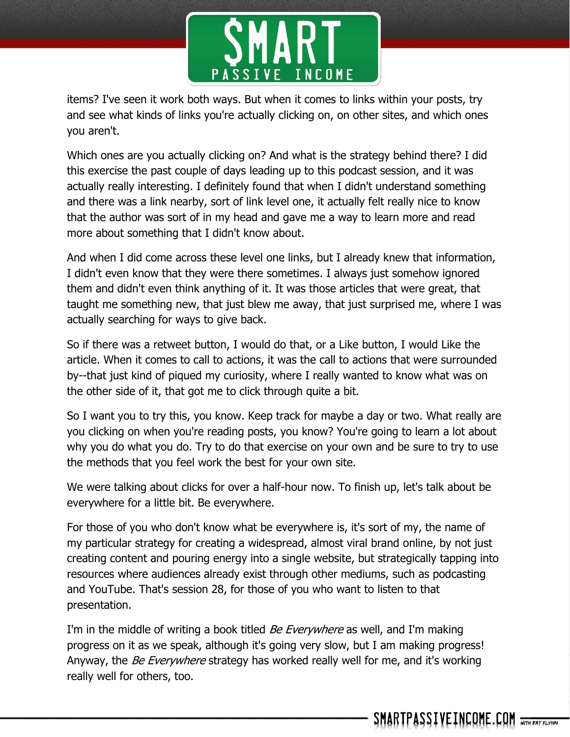

items? I've seen it work both ways. But when it comes to links within your posts, try and see what kinds of links you're actually clicking on, on other sites, and which ones you aren't.

Which ones are you actually clicking on? And what is the strategy behind there? I did this exercise the past couple of days leading up to this podcast session, and it was actually really interesting. I definitely found that when I didn't understand something and there was a link nearby, sort of link level one, it actually felt really nice to know that the author was sort of in my head and gave me a way to learn more and read more about something that I didn't know about.

And when I did come across these level one links, but I already knew that information, I didn't even know that they were there sometimes. I always just somehow ignored them and didn't even think anything of it. It was those articles that were great, that taught me something new, that just blew me away, that just surprised me, where I was actually searching for ways to give back.

So if there was a retweet button, I would do that, or a Like button, I would Like the article. When it comes to call to actions, it was the call to actions that were surrounded by--that just kind of piqued my curiosity, where I really wanted to know what was on the other side of it, that got me to click through quite a bit.

So I want you to try this, you know. Keep track for maybe a day or two. What really are you clicking on when you're reading posts, you know? You're going to learn a lot about why you do what you do. Try to do that exercise on your own and be sure to try to use the methods that you feel work the best for your own site.

We were talking about clicks for over a half-hour now. To finish up, let's talk about be everywhere for a little bit. Be everywhere.

For those of you who don't know what be everywhere is, it's sort of my, the name of my particular strategy for creating a widespread, almost viral brand online, by not just creating content and pouring energy into a single website, but strategically tapping into resources where audiences already exist through other mediums, such as podcasting and YouTube. That's session 28, for those of you who want to listen to that presentation.

I'm in the middle of writing a book titled *Be Everywhere* as well, and I'm making progress on it as we speak, although it's going very slow, but I am making progress! Anyway, the *Be Everywhere* strategy has worked really well for me, and it's working really well for others, too.